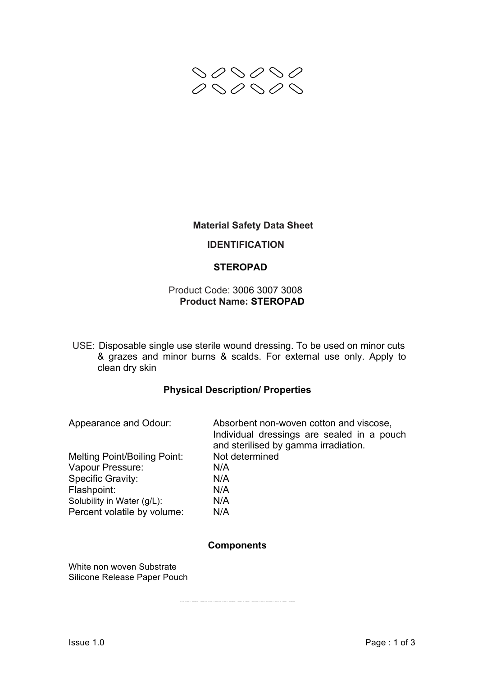

## **Material Safety Data Sheet**

## **IDENTIFICATION**

## **STEROPAD**

## Product Code: 3006 3007 3008 **Product Name: STEROPAD**

USE: Disposable single use sterile wound dressing. To be used on minor cuts & grazes and minor burns & scalds. For external use only. Apply to clean dry skin

## **Physical Description/ Properties**

| Appearance and Odour:               | Absorbent non-woven cotton and viscose,<br>Individual dressings are sealed in a pouch<br>and sterilised by gamma irradiation. |
|-------------------------------------|-------------------------------------------------------------------------------------------------------------------------------|
| <b>Melting Point/Boiling Point:</b> | Not determined                                                                                                                |
| Vapour Pressure:                    | N/A                                                                                                                           |
| <b>Specific Gravity:</b>            | N/A                                                                                                                           |
| Flashpoint:                         | N/A                                                                                                                           |
| Solubility in Water (g/L):          | N/A                                                                                                                           |
| Percent volatile by volume:         | N/A                                                                                                                           |
|                                     |                                                                                                                               |

### **Components**

White non woven Substrate Silicone Release Paper Pouch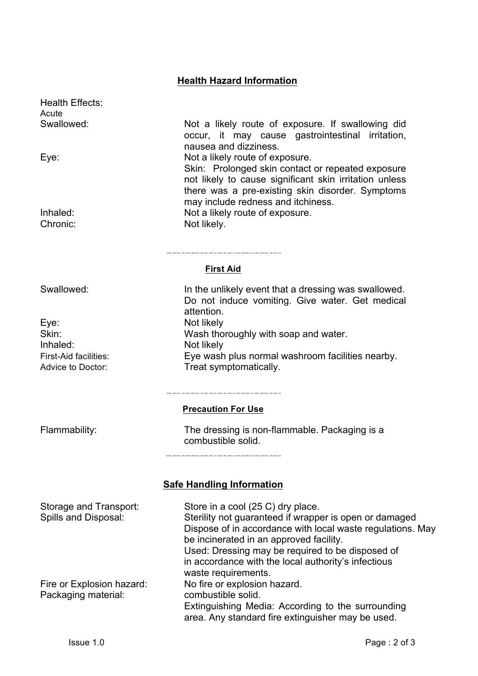# **Health Hazard Information**

Health Effects: **Acute** 

Eve: Not likely Inhaled: Not likely

Swallowed: Not a likely route of exposure. If swallowing did occur, it may cause gastrointestinal irritation, nausea and dizziness. Eye: Not a likely route of exposure. Skin: Prolonged skin contact or repeated exposure not likely to cause significant skin irritation unless there was a pre-existing skin disorder. Symptoms may include redness and itchiness. Inhaled: Not a likely route of exposure. Chronic: Not likely.

#### **First Aid**

Swallowed: In the unlikely event that a dressing was swallowed. Do not induce vomiting. Give water. Get medical attention. Skin: Skin: Wash thoroughly with soap and water. First-Aid facilities: Eye wash plus normal washroom facilities nearby. Advice to Doctor: Treat symptomatically.

### **Precaution For Use**

Flammability: The dressing is non-flammable. Packaging is a combustible solid.

## **Safe Handling Information**

| Storage and Transport:    | Store in a cool (25 C) dry place.                          |
|---------------------------|------------------------------------------------------------|
| Spills and Disposal:      | Sterility not guaranteed if wrapper is open or damaged     |
|                           | Dispose of in accordance with local waste regulations. May |
|                           | be incinerated in an approved facility.                    |
|                           | Used: Dressing may be required to be disposed of           |
|                           | in accordance with the local authority's infectious        |
|                           | waste requirements.                                        |
| Fire or Explosion hazard: | No fire or explosion hazard.                               |
| Packaging material:       | combustible solid.                                         |
|                           | Extinguishing Media: According to the surrounding          |
|                           | area. Any standard fire extinguisher may be used.          |